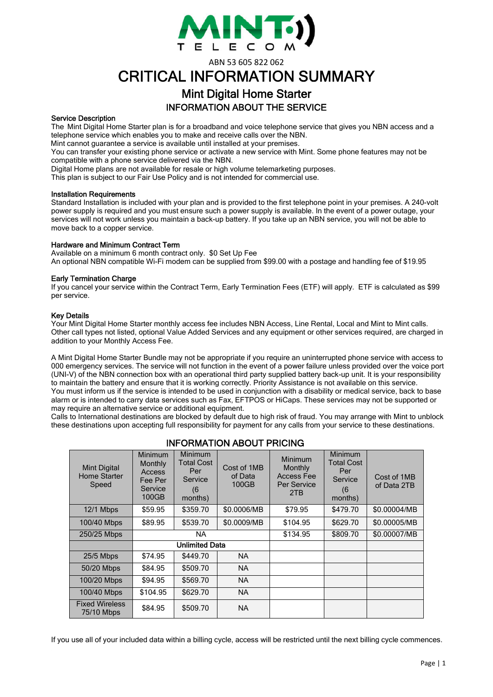

ABN 53 605 822 062

# CRITICAL INFORMATION SUMMARY

## Mint Digital Home Starter INFORMATION ABOUT THE SERVICE

#### Service Description

The Mint Digital Home Starter plan is for a broadband and voice telephone service that gives you NBN access and a telephone service which enables you to make and receive calls over the NBN.

Mint cannot guarantee a service is available until installed at your premises.

You can transfer your existing phone service or activate a new service with Mint. Some phone features may not be compatible with a phone service delivered via the NBN.

Digital Home plans are not available for resale or high volume telemarketing purposes.

This plan is subject to our Fair Use Policy and is not intended for commercial use.

#### Installation Requirements

Standard Installation is included with your plan and is provided to the first telephone point in your premises. A 240-volt power supply is required and you must ensure such a power supply is available. In the event of a power outage, your services will not work unless you maintain a back-up battery. If you take up an NBN service, you will not be able to move back to a copper service.

#### Hardware and Minimum Contract Term

Available on a minimum 6 month contract only. \$0 Set Up Fee An optional NBN compatible Wi-Fi modem can be supplied from \$99.00 with a postage and handling fee of \$19.95

#### Early Termination Charge

If you cancel your service within the Contract Term, Early Termination Fees (ETF) will apply. ETF is calculated as \$99 per service.

#### Key Details

Your Mint Digital Home Starter monthly access fee includes NBN Access, Line Rental, Local and Mint to Mint calls. Other call types not listed, optional Value Added Services and any equipment or other services required, are charged in addition to your Monthly Access Fee.

A Mint Digital Home Starter Bundle may not be appropriate if you require an uninterrupted phone service with access to 000 emergency services. The service will not function in the event of a power failure unless provided over the voice port (UNI-V) of the NBN connection box with an operational third party supplied battery back-up unit. It is your responsibility to maintain the battery and ensure that it is working correctly. Priority Assistance is not available on this service. You must inform us if the service is intended to be used in conjunction with a disability or medical service, back to base alarm or is intended to carry data services such as Fax, EFTPOS or HiCaps. These services may not be supported or may require an alternative service or additional equipment.

Calls to International destinations are blocked by default due to high risk of fraud. You may arrange with Mint to unblock these destinations upon accepting full responsibility for payment for any calls from your service to these destinations.

## INFORMATION ABOUT PRICING

| <b>Mint Digital</b><br><b>Home Starter</b><br>Speed | Minimum<br>Monthly<br>Access<br>Fee Per<br>Service<br>100GB | Minimum<br>Total Cost<br>Per<br>Service<br>(6)<br>months) | Cost of 1MB<br>of Data<br>100GB | Minimum<br>Monthly<br>Access Fee<br>Per Service<br>2TB | Minimum<br><b>Total Cost</b><br>Per<br>Service<br>(6)<br>months) | Cost of 1MB<br>of Data 2TB |
|-----------------------------------------------------|-------------------------------------------------------------|-----------------------------------------------------------|---------------------------------|--------------------------------------------------------|------------------------------------------------------------------|----------------------------|
| 12/1 Mbps                                           | \$59.95                                                     | \$359.70                                                  | \$0.0006/MB                     | \$79.95                                                | \$479.70                                                         | \$0.00004/MB               |
| 100/40 Mbps                                         | \$89.95                                                     | \$539.70                                                  | \$0.0009/MB                     | \$104.95                                               | \$629.70                                                         | \$0.00005/MB               |
| 250/25 Mbps                                         | NA.                                                         |                                                           |                                 | \$134.95                                               | \$809.70                                                         | \$0.00007/MB               |
|                                                     | <b>Unlimited Data</b>                                       |                                                           |                                 |                                                        |                                                                  |                            |
| $25/5$ Mbps                                         | \$74.95                                                     | \$449.70                                                  | <b>NA</b>                       |                                                        |                                                                  |                            |
| 50/20 Mbps                                          | \$84.95                                                     | \$509.70                                                  | <b>NA</b>                       |                                                        |                                                                  |                            |
| 100/20 Mbps                                         | \$94.95                                                     | \$569.70                                                  | <b>NA</b>                       |                                                        |                                                                  |                            |
| 100/40 Mbps                                         | \$104.95                                                    | \$629.70                                                  | <b>NA</b>                       |                                                        |                                                                  |                            |
| <b>Fixed Wireless</b><br>75/10 Mbps                 | \$84.95                                                     | \$509.70                                                  | <b>NA</b>                       |                                                        |                                                                  |                            |

If you use all of your included data within a billing cycle, access will be restricted until the next billing cycle commences.